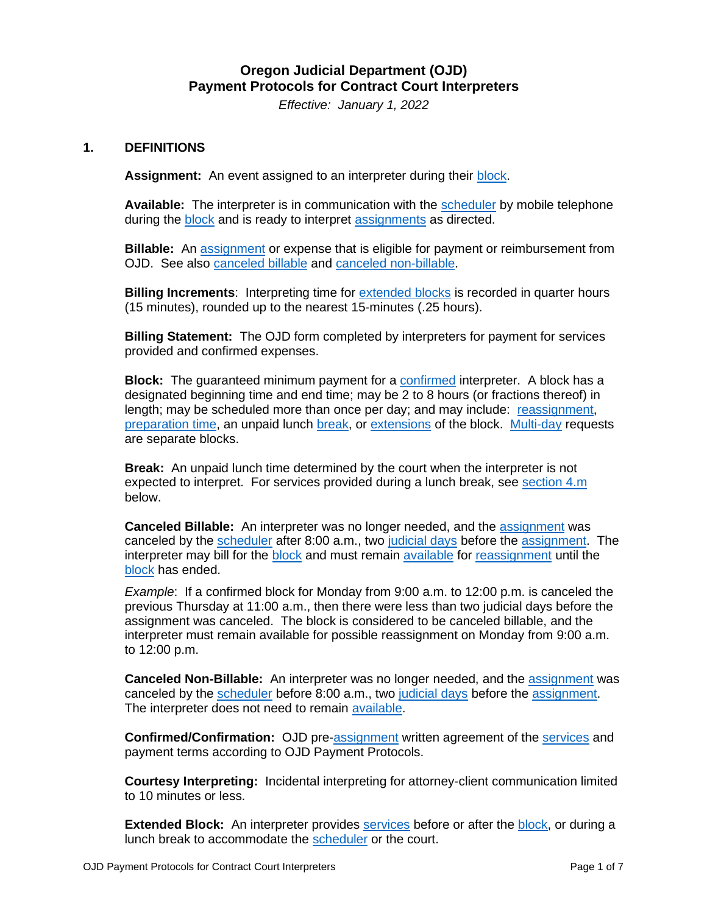# **Oregon Judicial Department (OJD) Payment Protocols for Contract Court Interpreters**

*Effective: January 1, 2022*

#### <span id="page-0-1"></span>**1. DEFINITIONS**

**Assignment:** An event assigned to an interpreter during their [block.](#page-0-0)

<span id="page-0-7"></span>**Available:** The interpreter is in communication with the [scheduler](#page-2-0) by mobile telephone during the [block](#page-0-0) and is ready to interpret [assignments](#page-0-1) as directed.

<span id="page-0-8"></span>**Billable:** An [assignment](#page-0-1) or expense that is eligible for payment or reimbursement from OJD. See also [canceled](#page-0-2) billable and canceled [non-billable.](#page-0-3)

**Billing Increments**: Interpreting time for [extended blocks](#page-0-4) is recorded in quarter hours (15 minutes), rounded up to the nearest 15-minutes (.25 hours).

<span id="page-0-10"></span>**Billing Statement:** The OJD form completed by interpreters for payment for services provided and confirmed expenses.

<span id="page-0-0"></span>**Block:** The guaranteed minimum payment for a [confirmed](#page-0-5) interpreter. A block has a designated beginning time and end time; may be 2 to 8 hours (or fractions thereof) in length; may be scheduled more than once per day; and may include: [reassignment,](#page-1-0) [preparation time,](#page-1-1) an unpaid lunch [break,](#page-0-6) or [extensions](#page-0-4) of the block. [Multi-day](#page-1-2) requests are separate blocks.

<span id="page-0-6"></span>**Break:** An unpaid lunch time determined by the court when the interpreter is not expected to interpret. For services provided during a lunch break, see [section 4.m](#page-3-0) below.

<span id="page-0-2"></span>**Canceled Billable:** An interpreter was no longer needed, and the [assignment](#page-0-1) was canceled by the [scheduler](#page-2-0) after 8:00 a.m., two [judicial days](#page-1-3) before the [assignment.](#page-0-1) The interpreter may bill for the [block](#page-0-0) and must remain [available](#page-0-7) for [reassignment](#page-1-0) until the [block](#page-0-0) has ended.

*Example*: If a confirmed block for Monday from 9:00 a.m. to 12:00 p.m. is canceled the previous Thursday at 11:00 a.m., then there were less than two judicial days before the assignment was canceled. The block is considered to be canceled billable, and the interpreter must remain available for possible reassignment on Monday from 9:00 a.m. to 12:00 p.m.

<span id="page-0-3"></span>**Canceled Non-Billable:** An interpreter was no longer needed, and the [assignment](#page-0-1) was canceled by the [scheduler](#page-2-0) before 8:00 a.m., two [judicial days](#page-1-3) before the [assignment.](#page-0-1) The interpreter does not need to remain [available.](#page-0-7)

<span id="page-0-5"></span>**Confirmed/Confirmation:** OJD pre[-assignment](#page-0-1) written agreement of the [services](#page-1-4) and payment terms according to OJD Payment Protocols.

<span id="page-0-9"></span>**Courtesy Interpreting:** Incidental interpreting for attorney-client communication limited to 10 minutes or less.

<span id="page-0-4"></span>**Extended Block:** An interpreter provides [services](#page-1-4) before or after the [block,](#page-0-0) or during a lunch break to accommodate the [scheduler](#page-2-0) or the court.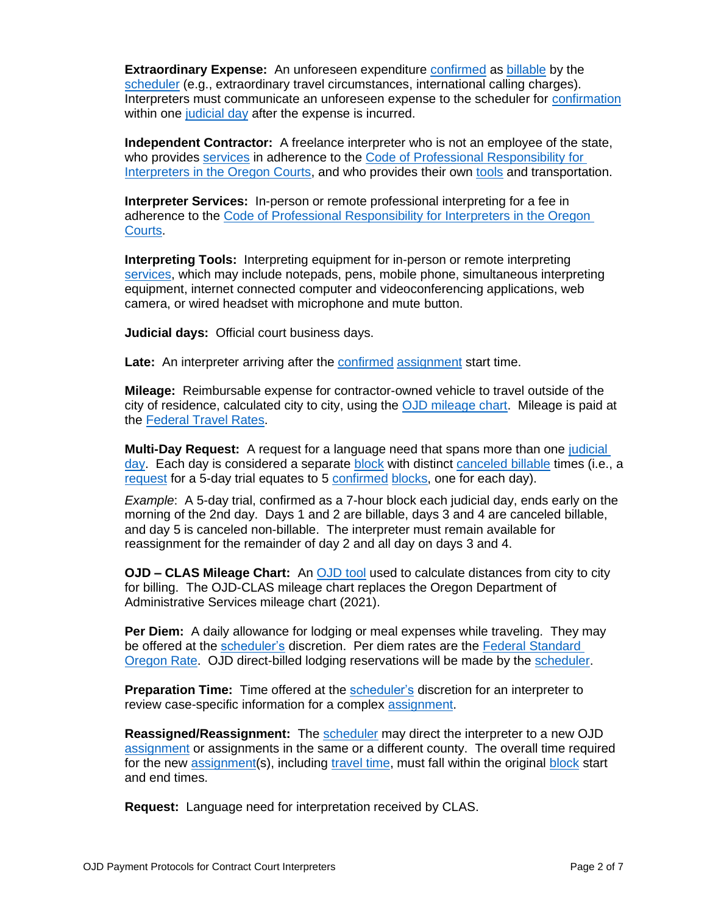<span id="page-1-8"></span>**Extraordinary Expense:** An unforeseen expenditure confirmed as billable by the [scheduler](#page-2-0) (e.g., extraordinary travel circumstances, in[ternational](#page-0-5) ca[lling cha](#page-0-8)rges). Interpreters must communicate an unforeseen expense to the scheduler for [confirmation](#page-0-5) within one [judicial day](#page-1-3) after the expense is incurred.

<span id="page-1-10"></span>**Independent Contractor:** A freelance interpreter who is not an employee of the state, who provides [services](#page-1-4) in adherence to the [Code of Professional Responsibility for](https://www.courts.oregon.gov/programs/interpreters/i-am/Documents/codeofprofresponsibility.pdf)  [Interpreters in the Oregon Courts,](https://www.courts.oregon.gov/programs/interpreters/i-am/Documents/codeofprofresponsibility.pdf) and who provides their own [tools](#page-1-5) and transportation.

<span id="page-1-4"></span>**Interpreter Services:** In-person or remote professional interpreting for a fee in adherence to the [Code of Professional Responsibility for Interpreters in the Oregon](https://www.courts.oregon.gov/programs/interpreters/i-am/Documents/codeofprofresponsibility.pdf)  [Courts.](https://www.courts.oregon.gov/programs/interpreters/i-am/Documents/codeofprofresponsibility.pdf)

<span id="page-1-5"></span>**Interpreting Tools:** Interpreting equipment for in-person or remote interpreting [services,](#page-1-4) which may include notepads, pens, mobile phone, simultaneous interpreting equipment, internet connected computer and videoconferencing applications, web camera, or wired headset with microphone and mute button.

<span id="page-1-3"></span>**Judicial days:** Official court business days.

<span id="page-1-9"></span>Late: An interpreter arriving after the [confirmed](#page-0-5) [assignment](#page-0-1) start time.

<span id="page-1-11"></span>**Mileage:** Reimbursable expense for contractor-owned vehicle to travel outside of the city of residence, calculated city to city, using the **OJD** mileage chart. Mileage is paid at the [Federal Travel Rates.](https://www.irs.gov/tax-professionals/standard-mileage-rates)

<span id="page-1-2"></span>**Multi-Day Request:** A request for a language need that spans more than one [judicial](#page-1-3)  [day.](#page-1-3) Each day is considered a separate [block](#page-0-0) with distinct [canceled](#page-0-2) billable times (i.e., a [request](#page-1-7) for a 5-day trial equates to 5 [confirmed](#page-0-5) [blocks,](#page-0-0) one for each day).

*Example*: A 5-day trial, confirmed as a 7-hour block each judicial day, ends early on the morning of the 2nd day. Days 1 and 2 are billable, days 3 and 4 are canceled billable, and day 5 is canceled non-billable. The interpreter must remain available for reassignment for the remainder of day 2 and all day on days 3 and 4.

<span id="page-1-6"></span>**OJD – CLAS Mileage Chart:** An [OJD tool](https://www.courts.oregon.gov/programs/interpreters/i-am/Documents/OJD%20-%20CLAS%20Mileage%20Chart.pdf) used to calculate distances from city to city for billing. The OJD-CLAS mileage chart replaces the Oregon Department of Administrative Services mileage chart (2021).

<span id="page-1-12"></span>**Per Diem:** A daily allowance for lodging or meal expenses while traveling. They may be offered at the [scheduler's](#page-2-0) discretion. Per diem rates are the [Federal Standard](https://www.gsa.gov/travel/plan-book/per-diem-rates/per-diem-rates-lookup/?action=perdiems_report&state=OR&fiscal_year=2021&zip=&city=)  [Oregon Rate.](https://www.gsa.gov/travel/plan-book/per-diem-rates/per-diem-rates-lookup/?action=perdiems_report&state=OR&fiscal_year=2021&zip=&city=) OJD direct-billed lodging reservations will be made by the [scheduler.](#page-2-0)

<span id="page-1-1"></span>**Preparation Time:** Time offered at the [scheduler's](#page-2-0) discretion for an interpreter to review case-specific information for a complex [assignment.](#page-0-1)

<span id="page-1-0"></span>**Reassigned/Reassignment:** The [scheduler](#page-2-0) may direct the interpreter to a new OJD [assignment](#page-0-1) or assignments in the same or a different county. The overall time required for the new [assignment\(](#page-0-1)s), including [travel time,](#page-2-1) must fall within the original [block](#page-0-0) start and end times.

<span id="page-1-7"></span>**Request:** Language need for interpretation received by CLAS.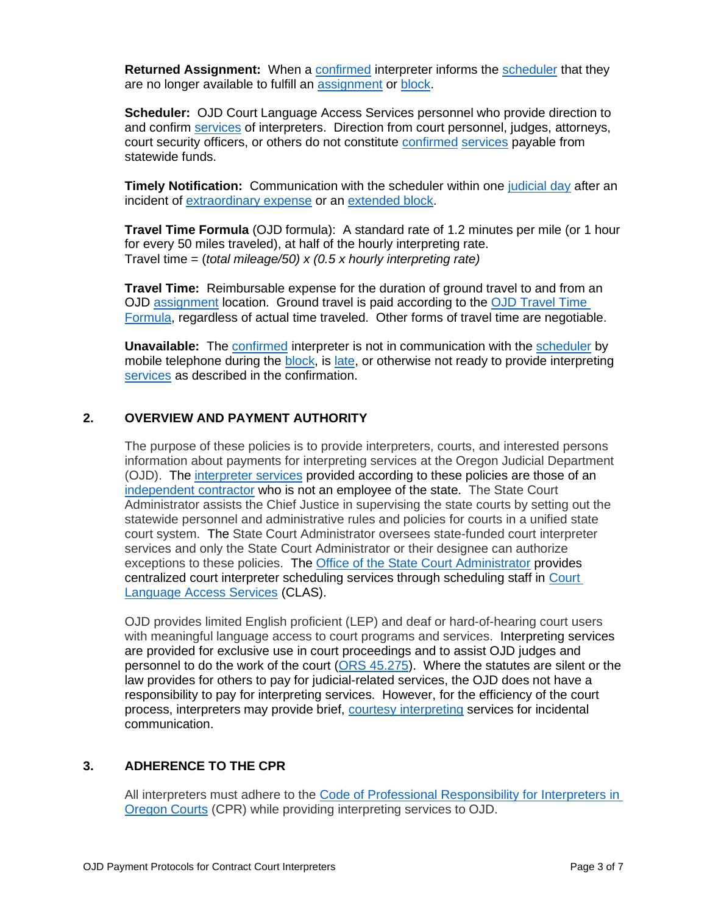<span id="page-2-2"></span>**Returned Assignment:** When a [confirmed](#page-0-5) interpreter informs the [scheduler](#page-2-0) that they are no longer available to fulfill an [assignment](#page-0-1) or [block.](#page-0-0)

<span id="page-2-0"></span>**Scheduler:** OJD Court Language Access Services personnel who provide direction to and confirm [services](#page-1-4) of interpreters. Direction from court personnel, judges, attorneys, court security officers, or others do not constitute [confirmed](#page-0-5) [services](#page-1-4) payable from statewide funds.

<span id="page-2-5"></span>**Timely Notification:** Communication with the scheduler within one [judicial day](#page-1-3) after an incident of [extraordinary expense](#page-1-8) or an [extended block.](#page-0-4)

<span id="page-2-3"></span>**Travel Time Formula** (OJD formula): A standard rate of 1.2 minutes per mile (or 1 hour for every 50 miles traveled), at half of the hourly interpreting rate. Travel time = (*total mileage/50) x (0.5 x hourly interpreting rate)*

<span id="page-2-1"></span>**Travel Time:** Reimbursable expense for the duration of ground travel to and from an OJD [assignment](#page-0-1) location. Ground travel is paid according to the [OJD Travel Time](#page-2-1)  [Formula,](#page-2-1) regardless of actual time traveled. Other forms of travel time are negotiable.

<span id="page-2-4"></span>**Unavailable:** The [confirmed](#page-0-5) interpreter is not in communication with the [scheduler](#page-6-0) by mobile telephone during the **block**, is [late,](#page-1-9) or otherwise not ready to provide interpreting [services](#page-1-4) as described in the confirmation.

## **2. OVERVIEW AND PAYMENT AUTHORITY**

The purpose of these policies is to provide interpreters, courts, and interested persons information about payments for interpreting services at the Oregon Judicial Department (OJD). The [interpreter services](#page-1-4) provided according to these policies are those of an [independent contractor](#page-1-10) who is not an employee of the state. The State Court Administrator assists the Chief Justice in supervising the state courts by setting out the statewide personnel and administrative rules and policies for courts in a unified state court system. The State Court Administrator oversees state-funded court interpreter services and only the State Court Administrator or their designee can authorize exceptions to these policies. The [Office of the State Court Administrator](https://www.courts.oregon.gov/about/Pages/osca.aspx) provides centralized court interpreter scheduling services through scheduling staff in [Court](https://www.courts.oregon.gov/languages/Pages/default.aspx)  [Language Access Services](https://www.courts.oregon.gov/languages/Pages/default.aspx) (CLAS).

OJD provides limited English proficient (LEP) and deaf or hard-of-hearing court users with meaningful language access to court programs and services. Interpreting services are provided for exclusive use in court proceedings and to assist OJD judges and personnel to do the work of the court [\(ORS 45.275\)](https://www.oregonlegislature.gov/bills_laws/ors/ors045.html). Where the statutes are silent or the law provides for others to pay for judicial-related services, the OJD does not have a responsibility to pay for interpreting services. However, for the efficiency of the court process, interpreters may provide brief, [courtesy interpreting](#page-0-9) services for incidental communication.

#### **3. ADHERENCE TO THE CPR**

All interpreters must adhere to the [Code of Professional Responsibility for Interpreters in](https://www.courts.oregon.gov/programs/interpreters/policies/Documents/CodeofProfResponsibility.pdf)  [Oregon Courts](https://www.courts.oregon.gov/programs/interpreters/policies/Documents/CodeofProfResponsibility.pdf) (CPR) while providing interpreting services to OJD.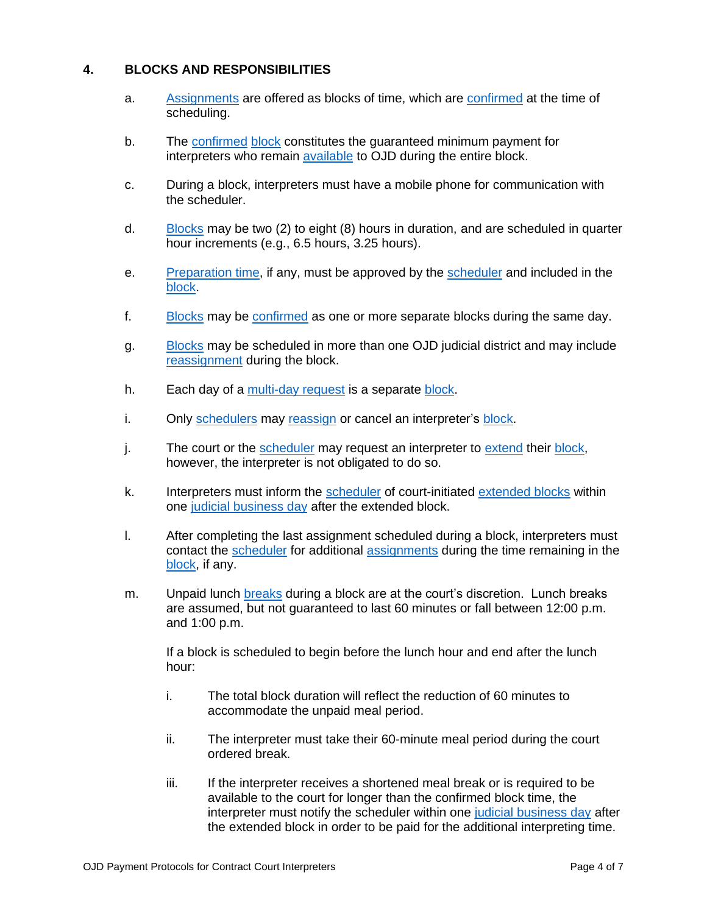## **4. BLOCKS AND RESPONSIBILITIES**

- a. [Assignments](#page-0-1) are offered as blocks of time, which are [confirmed](#page-0-5) at the time of scheduling.
- b. The [confirmed](#page-0-5) [block](#page-0-0) constitutes the guaranteed minimum payment for interpreters who remain [available](#page-0-7) to OJD during the entire block.
- c. During a block, interpreters must have a mobile phone for communication with the scheduler.
- d. [Blocks](#page-0-0) may be two (2) to eight (8) hours in duration, and are scheduled in quarter hour increments (e.g., 6.5 hours, 3.25 hours).
- e. [Preparation time,](#page-1-1) if any, must be approved by the [scheduler](#page-2-0) and included in the [block.](#page-0-0)
- f. [Blocks](#page-0-0) may be [confirmed](#page-0-5) as one or more separate blocks during the same day.
- g. [Blocks](#page-0-0) may be scheduled in more than one OJD judicial district and may include [reassignment](#page-1-0) during the block.
- h. Each day of a [multi-day request](#page-1-2) is a separate [block.](#page-0-0)
- i. Only [schedulers](#page-2-0) may [reassign](#page-1-0) or cancel an interpreter's [block.](#page-0-0)
- j. The court or the [scheduler](#page-2-0) may request an interpreter to [extend](#page-0-4) their [block,](#page-0-0) however, the interpreter is not obligated to do so.
- k. Interpreters must inform the [scheduler](#page-2-0) of court-initiated [extended blocks](#page-0-4) within one [judicial business day](#page-1-3) after the extended block.
- l. After completing the last assignment scheduled during a block, interpreters must contact the [scheduler](#page-2-0) for additional [assignments](#page-0-1) during the time remaining in the [block,](#page-0-0) if any.
- <span id="page-3-0"></span>m. Unpaid lunch [breaks](#page-0-6) during a block are at the court's discretion. Lunch breaks are assumed, but not guaranteed to last 60 minutes or fall between 12:00 p.m. and 1:00 p.m.

If a block is scheduled to begin before the lunch hour and end after the lunch hour:

- i. The total block duration will reflect the reduction of 60 minutes to accommodate the unpaid meal period.
- ii. The interpreter must take their 60-minute meal period during the court ordered break.
- iii. If the interpreter receives a shortened meal break or is required to be available to the court for longer than the confirmed block time, the interpreter must notify the scheduler within one [judicial business day](#page-1-3) after the extended block in order to be paid for the additional interpreting time.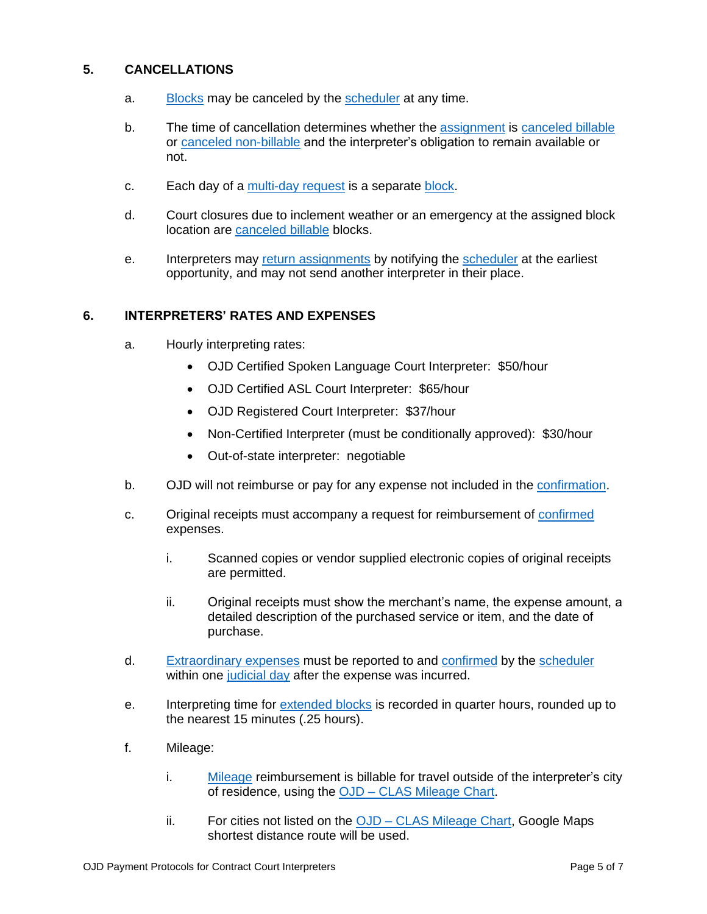## **5. CANCELLATIONS**

- a. [Blocks](#page-0-0) may be canceled by the [scheduler](#page-2-0) at any time.
- b. The time of cancellation determines whether the [assignment](#page-0-1) is [canceled](#page-0-2) billable or canceled [non-billable](#page-0-3) and the interpreter's obligation to remain available or not.
- c. Each day of a [multi-day request](#page-1-2) is a separate [block.](#page-0-0)
- d. Court closures due to inclement weather or an emergency at the assigned block location are [canceled](#page-0-2) billable blocks.
- e. Interpreters may [return assignments](#page-2-2) by notifying the [scheduler](#page-2-0) at the earliest opportunity, and may not send another interpreter in their place.

#### **6. INTERPRETERS' RATES AND EXPENSES**

- a. Hourly interpreting rates:
	- OJD Certified Spoken Language Court Interpreter: \$50/hour
	- OJD Certified ASL Court Interpreter: \$65/hour
	- OJD Registered Court Interpreter: \$37/hour
	- Non-Certified Interpreter (must be conditionally approved): \$30/hour
	- Out-of-state interpreter: negotiable
- b. OJD will not reimburse or pay for any expense not included in the [confirmation.](#page-0-5)
- c. Original receipts must accompany a request for reimbursement of [confirmed](#page-0-5) expenses.
	- i. Scanned copies or vendor supplied electronic copies of original receipts are permitted.
	- ii. Original receipts must show the merchant's name, the expense amount, a detailed description of the purchased service or item, and the date of purchase.
- d. [Extraordinary expenses](#page-1-8) must be reported to and [confirmed](#page-0-5) by the [scheduler](#page-2-0) within one [judicial day](#page-1-3) after the expense was incurred.
- e. Interpreting time for [extended blocks](#page-0-4) is recorded in quarter hours, rounded up to the nearest 15 minutes (.25 hours).
- f. Mileage:
	- i. [Mileage](#page-1-11) reimbursement is billable for travel outside of the interpreter's city of residence, using the OJD – [CLAS Mileage Chart.](#page-1-6)
	- ii. For cities not listed on the OJD [CLAS Mileage Chart,](#page-1-6) Google Maps shortest distance route will be used.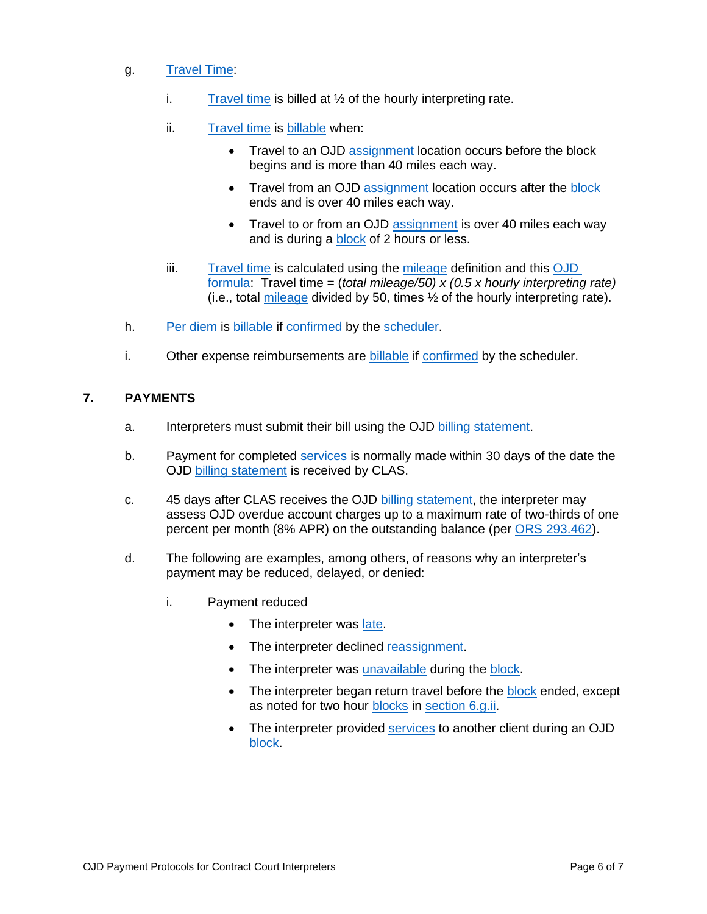- <span id="page-5-0"></span>g. [Travel Time:](#page-2-1)
	- i. [Travel time](#page-2-1) is billed at  $\frac{1}{2}$  of the hourly interpreting rate.
	- ii. [Travel time](#page-2-1) is [billable](#page-0-8) when:
		- Travel to an OJD [assignment](#page-0-1) location occurs before the block begins and is more than 40 miles each way.
		- Travel from an OJD [assignment](#page-0-1) location occurs after the [block](#page-0-0) ends and is over 40 miles each way.
		- Travel to or from an OJD [assignment](#page-0-1) is over 40 miles each way and is during a [block](#page-0-0) of 2 hours or less.
	- iii. [Travel time](#page-2-1) is calculated using the [mileage](#page-1-11) definition and this [OJD](#page-2-3)  [formula:](#page-2-3) Travel time = (*total mileage/50) x (0.5 x hourly interpreting rate)* (i.e., total [mileage](#page-1-11) divided by 50, times ½ of the hourly interpreting rate).
- h. [Per diem](#page-1-12) is [billable](#page-0-8) if [confirmed](#page-0-5) by the [scheduler.](#page-2-0)
- i. Other expense reimbursements are [billable](#page-0-8) if [confirmed](#page-0-5) by the scheduler.

## **7. PAYMENTS**

- a. Interpreters must submit their bill using the OJD [billing statement.](#page-0-10)
- b. Payment for completed [services](#page-1-4) is normally made within 30 days of the date the OJD [billing statement](#page-0-10) is received by CLAS.
- c. 45 days after CLAS receives the OJD [billing statement,](#page-0-10) the interpreter may assess OJD overdue account charges up to a maximum rate of two-thirds of one percent per month (8% APR) on the outstanding balance (per [ORS 293.462\)](https://www.oregonlegislature.gov/bills_laws/ors/ors293.html).
- d. The following are examples, among others, of reasons why an interpreter's payment may be reduced, delayed, or denied:
	- i. Payment reduced
		- The interpreter was [late.](#page-1-9)
		- The interpreter declined [reassignment.](#page-1-0)
		- The interpreter was [unavailable](#page-2-4) during the [block.](#page-0-0)
		- The interpreter began return travel before the [block](#page-0-0) ended, except as noted for two hour [blocks](#page-0-0) in [section 6.g.ii.](#page-5-0)
		- The interpreter provided [services](#page-1-4) to another client during an OJD [block.](#page-0-0)